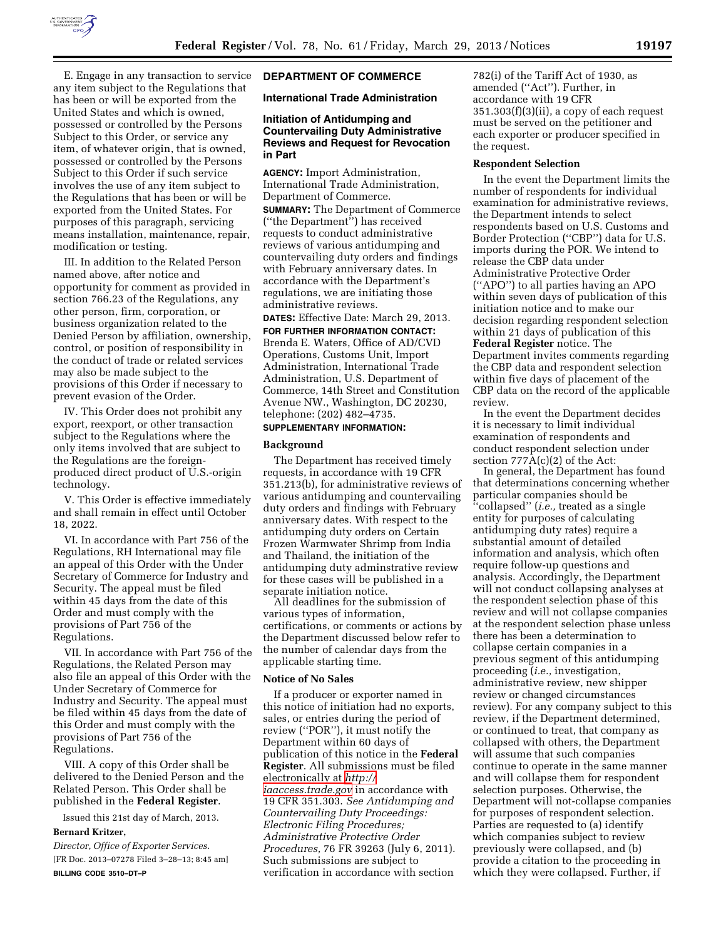

E. Engage in any transaction to service any item subject to the Regulations that has been or will be exported from the United States and which is owned, possessed or controlled by the Persons Subject to this Order, or service any item, of whatever origin, that is owned, possessed or controlled by the Persons Subject to this Order if such service involves the use of any item subject to the Regulations that has been or will be exported from the United States. For purposes of this paragraph, servicing means installation, maintenance, repair, modification or testing.

III. In addition to the Related Person named above, after notice and opportunity for comment as provided in section 766.23 of the Regulations, any other person, firm, corporation, or business organization related to the Denied Person by affiliation, ownership, control, or position of responsibility in the conduct of trade or related services may also be made subject to the provisions of this Order if necessary to prevent evasion of the Order.

IV. This Order does not prohibit any export, reexport, or other transaction subject to the Regulations where the only items involved that are subject to the Regulations are the foreignproduced direct product of U.S.-origin technology.

V. This Order is effective immediately and shall remain in effect until October 18, 2022.

VI. In accordance with Part 756 of the Regulations, RH International may file an appeal of this Order with the Under Secretary of Commerce for Industry and Security. The appeal must be filed within 45 days from the date of this Order and must comply with the provisions of Part 756 of the Regulations.

VII. In accordance with Part 756 of the Regulations, the Related Person may also file an appeal of this Order with the Under Secretary of Commerce for Industry and Security. The appeal must be filed within 45 days from the date of this Order and must comply with the provisions of Part 756 of the Regulations.

VIII. A copy of this Order shall be delivered to the Denied Person and the Related Person. This Order shall be published in the **Federal Register**.

Issued this 21st day of March, 2013.

#### **Bernard Kritzer,**

*Director, Office of Exporter Services.*  [FR Doc. 2013–07278 Filed 3–28–13; 8:45 am] **BILLING CODE 3510–DT–P** 

## **DEPARTMENT OF COMMERCE**

## **International Trade Administration**

## **Initiation of Antidumping and Countervailing Duty Administrative Reviews and Request for Revocation in Part**

**AGENCY:** Import Administration, International Trade Administration, Department of Commerce.

**SUMMARY:** The Department of Commerce (''the Department'') has received requests to conduct administrative reviews of various antidumping and countervailing duty orders and findings with February anniversary dates. In accordance with the Department's regulations, we are initiating those administrative reviews.

**DATES:** Effective Date: March 29, 2013.

**FOR FURTHER INFORMATION CONTACT:**  Brenda E. Waters, Office of AD/CVD Operations, Customs Unit, Import Administration, International Trade Administration, U.S. Department of Commerce, 14th Street and Constitution Avenue NW., Washington, DC 20230, telephone: (202) 482–4735.

# **SUPPLEMENTARY INFORMATION:**

#### **Background**

The Department has received timely requests, in accordance with 19 CFR 351.213(b), for administrative reviews of various antidumping and countervailing duty orders and findings with February anniversary dates. With respect to the antidumping duty orders on Certain Frozen Warmwater Shrimp from India and Thailand, the initiation of the antidumping duty adminstrative review for these cases will be published in a separate initiation notice.

All deadlines for the submission of various types of information, certifications, or comments or actions by the Department discussed below refer to the number of calendar days from the applicable starting time.

### **Notice of No Sales**

If a producer or exporter named in this notice of initiation had no exports, sales, or entries during the period of review (''POR''), it must notify the Department within 60 days of publication of this notice in the **Federal Register**. All submissions must be filed electronically at *[http://](http://iaaccess.trade.gov) [iaaccess.trade.gov](http://iaaccess.trade.gov)* in accordance with 19 CFR 351.303. *See Antidumping and Countervailing Duty Proceedings: Electronic Filing Procedures; Administrative Protective Order Procedures,* 76 FR 39263 (July 6, 2011). Such submissions are subject to verification in accordance with section

782(i) of the Tariff Act of 1930, as amended (''Act''). Further, in accordance with 19 CFR 351.303(f)(3)(ii), a copy of each request must be served on the petitioner and each exporter or producer specified in the request.

### **Respondent Selection**

In the event the Department limits the number of respondents for individual examination for administrative reviews, the Department intends to select respondents based on U.S. Customs and Border Protection (''CBP'') data for U.S. imports during the POR. We intend to release the CBP data under Administrative Protective Order (''APO'') to all parties having an APO within seven days of publication of this initiation notice and to make our decision regarding respondent selection within 21 days of publication of this **Federal Register** notice. The Department invites comments regarding the CBP data and respondent selection within five days of placement of the CBP data on the record of the applicable review.

In the event the Department decides it is necessary to limit individual examination of respondents and conduct respondent selection under section  $777A(c)(2)$  of the Act:

In general, the Department has found that determinations concerning whether particular companies should be ''collapsed'' (*i.e.,* treated as a single entity for purposes of calculating antidumping duty rates) require a substantial amount of detailed information and analysis, which often require follow-up questions and analysis. Accordingly, the Department will not conduct collapsing analyses at the respondent selection phase of this review and will not collapse companies at the respondent selection phase unless there has been a determination to collapse certain companies in a previous segment of this antidumping proceeding (*i.e.,* investigation, administrative review, new shipper review or changed circumstances review). For any company subject to this review, if the Department determined, or continued to treat, that company as collapsed with others, the Department will assume that such companies continue to operate in the same manner and will collapse them for respondent selection purposes. Otherwise, the Department will not-collapse companies for purposes of respondent selection. Parties are requested to (a) identify which companies subject to review previously were collapsed, and (b) provide a citation to the proceeding in which they were collapsed. Further, if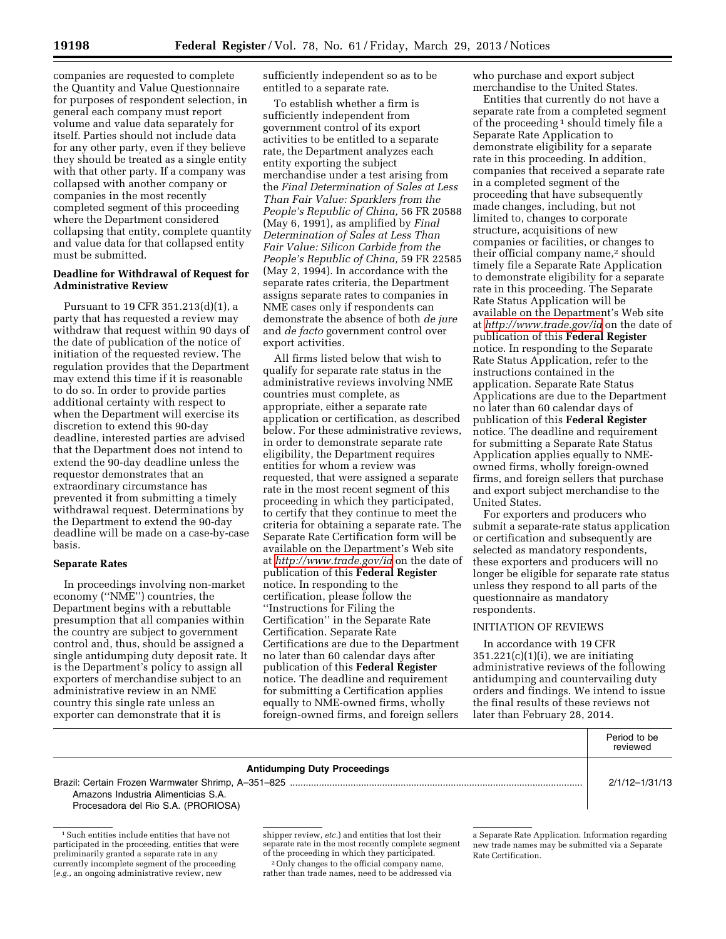companies are requested to complete the Quantity and Value Questionnaire for purposes of respondent selection, in general each company must report volume and value data separately for itself. Parties should not include data for any other party, even if they believe they should be treated as a single entity with that other party. If a company was collapsed with another company or companies in the most recently completed segment of this proceeding where the Department considered collapsing that entity, complete quantity and value data for that collapsed entity must be submitted.

## **Deadline for Withdrawal of Request for Administrative Review**

Pursuant to 19 CFR 351.213(d)(1), a party that has requested a review may withdraw that request within 90 days of the date of publication of the notice of initiation of the requested review. The regulation provides that the Department may extend this time if it is reasonable to do so. In order to provide parties additional certainty with respect to when the Department will exercise its discretion to extend this 90-day deadline, interested parties are advised that the Department does not intend to extend the 90-day deadline unless the requestor demonstrates that an extraordinary circumstance has prevented it from submitting a timely withdrawal request. Determinations by the Department to extend the 90-day deadline will be made on a case-by-case basis.

### **Separate Rates**

In proceedings involving non-market economy (''NME'') countries, the Department begins with a rebuttable presumption that all companies within the country are subject to government control and, thus, should be assigned a single antidumping duty deposit rate. It is the Department's policy to assign all exporters of merchandise subject to an administrative review in an NME country this single rate unless an exporter can demonstrate that it is

sufficiently independent so as to be entitled to a separate rate.

To establish whether a firm is sufficiently independent from government control of its export activities to be entitled to a separate rate, the Department analyzes each entity exporting the subject merchandise under a test arising from the *Final Determination of Sales at Less Than Fair Value: Sparklers from the People's Republic of China,* 56 FR 20588 (May 6, 1991), as amplified by *Final Determination of Sales at Less Than Fair Value: Silicon Carbide from the People's Republic of China,* 59 FR 22585 (May 2, 1994). In accordance with the separate rates criteria, the Department assigns separate rates to companies in NME cases only if respondents can demonstrate the absence of both *de jure*  and *de facto* government control over export activities.

All firms listed below that wish to qualify for separate rate status in the administrative reviews involving NME countries must complete, as appropriate, either a separate rate application or certification, as described below. For these administrative reviews, in order to demonstrate separate rate eligibility, the Department requires entities for whom a review was requested, that were assigned a separate rate in the most recent segment of this proceeding in which they participated, to certify that they continue to meet the criteria for obtaining a separate rate. The Separate Rate Certification form will be available on the Department's Web site at *<http://www.trade.gov/ia>*on the date of publication of this **Federal Register**  notice. In responding to the certification, please follow the ''Instructions for Filing the Certification'' in the Separate Rate Certification. Separate Rate Certifications are due to the Department no later than 60 calendar days after publication of this **Federal Register**  notice. The deadline and requirement for submitting a Certification applies equally to NME-owned firms, wholly foreign-owned firms, and foreign sellers

who purchase and export subject merchandise to the United States.

Entities that currently do not have a separate rate from a completed segment of the proceeding 1 should timely file a Separate Rate Application to demonstrate eligibility for a separate rate in this proceeding. In addition, companies that received a separate rate in a completed segment of the proceeding that have subsequently made changes, including, but not limited to, changes to corporate structure, acquisitions of new companies or facilities, or changes to their official company name,<sup>2</sup> should timely file a Separate Rate Application to demonstrate eligibility for a separate rate in this proceeding. The Separate Rate Status Application will be available on the Department's Web site at *<http://www.trade.gov/ia>*on the date of publication of this **Federal Register**  notice. In responding to the Separate Rate Status Application, refer to the instructions contained in the application. Separate Rate Status Applications are due to the Department no later than 60 calendar days of publication of this **Federal Register**  notice. The deadline and requirement for submitting a Separate Rate Status Application applies equally to NMEowned firms, wholly foreign-owned firms, and foreign sellers that purchase and export subject merchandise to the United States.

For exporters and producers who submit a separate-rate status application or certification and subsequently are selected as mandatory respondents, these exporters and producers will no longer be eligible for separate rate status unless they respond to all parts of the questionnaire as mandatory respondents.

### INITIATION OF REVIEWS

In accordance with 19 CFR  $351.221(c)(1)(i)$ , we are initiating administrative reviews of the following antidumping and countervailing duty orders and findings. We intend to issue the final results of these reviews not later than February 28, 2014.

|                                                                            | Period to be<br>reviewed |
|----------------------------------------------------------------------------|--------------------------|
| <b>Antidumping Duty Proceedings</b>                                        |                          |
| Amazons Industria Alimenticias S.A.<br>Procesadora del Rio S.A. (PRORIOSA) | $2/1/12 - 1/31/13$       |

<sup>1</sup>Such entities include entities that have not participated in the proceeding, entities that were preliminarily granted a separate rate in any currently incomplete segment of the proceeding (*e.g.,* an ongoing administrative review, new

shipper review, *etc.*) and entities that lost their separate rate in the most recently complete segment of the proceeding in which they participated.

2Only changes to the official company name, rather than trade names, need to be addressed via

a Separate Rate Application. Information regarding new trade names may be submitted via a Separate Rate Certification.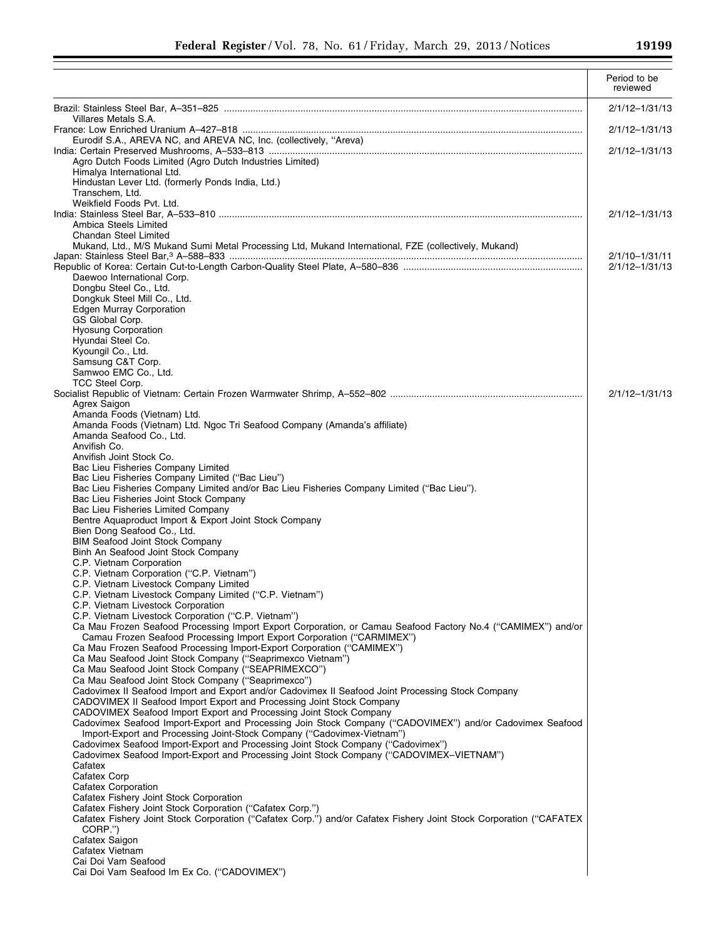|                                                                                                                                                                                    | Period to be<br>reviewed |
|------------------------------------------------------------------------------------------------------------------------------------------------------------------------------------|--------------------------|
|                                                                                                                                                                                    | 2/1/12-1/31/13           |
| Villares Metals S.A.                                                                                                                                                               | $2/1/12 - 1/31/13$       |
| Eurodif S.A., AREVA NC, and AREVA NC, Inc. (collectively, "Areva)                                                                                                                  |                          |
| Agro Dutch Foods Limited (Agro Dutch Industries Limited)<br>Himalya International Ltd.                                                                                             | $2/1/12 - 1/31/13$       |
| Hindustan Lever Ltd. (formerly Ponds India, Ltd.)                                                                                                                                  |                          |
| Transchem, Ltd.<br>Weikfield Foods Pvt. Ltd.                                                                                                                                       |                          |
|                                                                                                                                                                                    | 2/1/12-1/31/13           |
| Ambica Steels Limited                                                                                                                                                              |                          |
| Chandan Steel Limited<br>Mukand, Ltd., M/S Mukand Sumi Metal Processing Ltd, Mukand International, FZE (collectively, Mukand)                                                      |                          |
|                                                                                                                                                                                    | 2/1/10-1/31/11           |
|                                                                                                                                                                                    | $2/1/12 - 1/31/13$       |
| Daewoo International Corp.<br>Dongbu Steel Co., Ltd.                                                                                                                               |                          |
| Dongkuk Steel Mill Co., Ltd.                                                                                                                                                       |                          |
| <b>Edgen Murray Corporation</b>                                                                                                                                                    |                          |
| GS Global Corp.<br><b>Hyosung Corporation</b>                                                                                                                                      |                          |
| Hyundai Steel Co.                                                                                                                                                                  |                          |
| Kyoungil Co., Ltd.                                                                                                                                                                 |                          |
| Samsung C&T Corp.<br>Samwoo EMC Co., Ltd.                                                                                                                                          |                          |
| TCC Steel Corp.                                                                                                                                                                    |                          |
|                                                                                                                                                                                    | $2/1/12 - 1/31/13$       |
| Agrex Saigon                                                                                                                                                                       |                          |
| Amanda Foods (Vietnam) Ltd.<br>Amanda Foods (Vietnam) Ltd. Ngoc Tri Seafood Company (Amanda's affiliate)                                                                           |                          |
| Amanda Seafood Co., Ltd.                                                                                                                                                           |                          |
| Anvifish Co.                                                                                                                                                                       |                          |
| Anvifish Joint Stock Co.<br>Bac Lieu Fisheries Company Limited                                                                                                                     |                          |
| Bac Lieu Fisheries Company Limited ("Bac Lieu")                                                                                                                                    |                          |
| Bac Lieu Fisheries Company Limited and/or Bac Lieu Fisheries Company Limited ("Bac Lieu").                                                                                         |                          |
| Bac Lieu Fisheries Joint Stock Company<br>Bac Lieu Fisheries Limited Company                                                                                                       |                          |
| Bentre Aquaproduct Import & Export Joint Stock Company                                                                                                                             |                          |
| Bien Dong Seafood Co., Ltd.                                                                                                                                                        |                          |
| <b>BIM Seafood Joint Stock Company</b><br>Binh An Seafood Joint Stock Company                                                                                                      |                          |
| C.P. Vietnam Corporation                                                                                                                                                           |                          |
| C.P. Vietnam Corporation ("C.P. Vietnam")                                                                                                                                          |                          |
| C.P. Vietnam Livestock Company Limited<br>C.P. Vietnam Livestock Company Limited ("C.P. Vietnam")                                                                                  |                          |
| C.P. Vietnam Livestock Corporation                                                                                                                                                 |                          |
| C.P. Vietnam Livestock Corporation ("C.P. Vietnam")                                                                                                                                |                          |
| Ca Mau Frozen Seafood Processing Import Export Corporation, or Camau Seafood Factory No.4 ("CAMIMEX") and/or                                                                       |                          |
| Camau Frozen Seafood Processing Import Export Corporation ("CARMIMEX")<br>Ca Mau Frozen Seafood Processing Import-Export Corporation ("CAMIMEX")                                   |                          |
| Ca Mau Seafood Joint Stock Company ("Seaprimexco Vietnam")                                                                                                                         |                          |
| Ca Mau Seafood Joint Stock Company ("SEAPRIMEXCO")                                                                                                                                 |                          |
| Ca Mau Seafood Joint Stock Company ("Seaprimexco")<br>Cadovimex II Seafood Import and Export and/or Cadovimex II Seafood Joint Processing Stock Company                            |                          |
| CADOVIMEX II Seafood Import Export and Processing Joint Stock Company                                                                                                              |                          |
| CADOVIMEX Seafood Import Export and Processing Joint Stock Company                                                                                                                 |                          |
| Cadovimex Seafood Import-Export and Processing Join Stock Company ("CADOVIMEX") and/or Cadovimex Seafood<br>Import-Export and Processing Joint-Stock Company ("Cadovimex-Vietnam") |                          |
| Cadovimex Seafood Import-Export and Processing Joint Stock Company ("Cadovimex")                                                                                                   |                          |
| Cadovimex Seafood Import-Export and Processing Joint Stock Company ("CADOVIMEX-VIETNAM")<br>Cafatex                                                                                |                          |
| <b>Cafatex Corp</b>                                                                                                                                                                |                          |
| Cafatex Corporation                                                                                                                                                                |                          |
| Cafatex Fishery Joint Stock Corporation<br>Cafatex Fishery Joint Stock Corporation ("Cafatex Corp.")                                                                               |                          |
| Cafatex Fishery Joint Stock Corporation ("Cafatex Corp.") and/or Cafatex Fishery Joint Stock Corporation ("CAFATEX                                                                 |                          |
| CORP.")                                                                                                                                                                            |                          |
| Cafatex Saigon<br>Cafatex Vietnam                                                                                                                                                  |                          |
| Cai Doi Vam Seafood                                                                                                                                                                |                          |
| Cai Doi Vam Seafood Im Ex Co. ("CADOVIMEX")                                                                                                                                        |                          |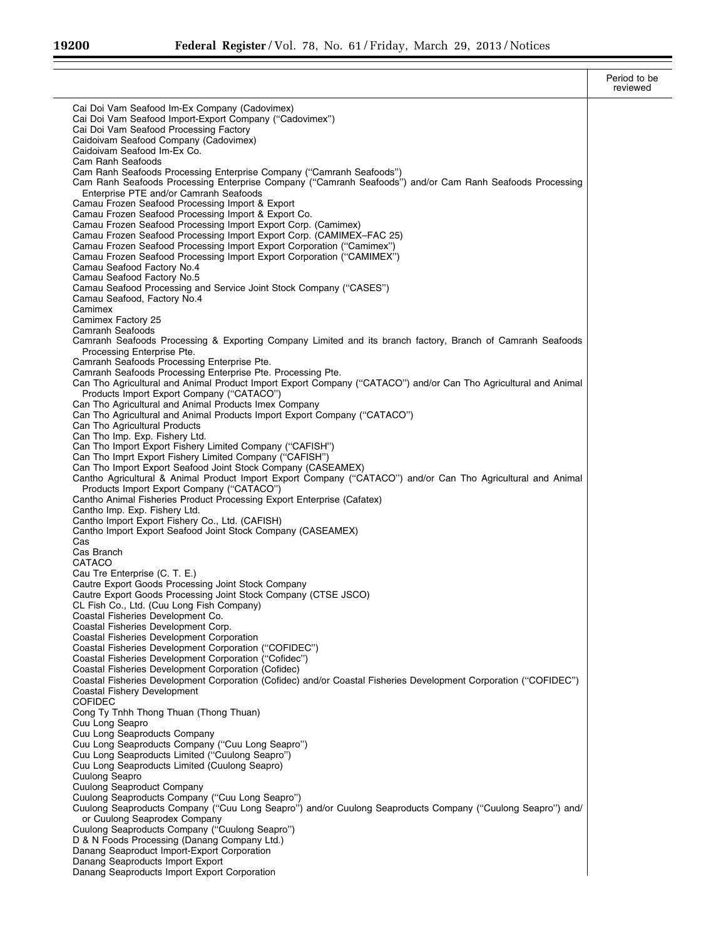$\overline{\phantom{0}}$ 

|                                                                                                                                                           | Period to be<br>reviewed |
|-----------------------------------------------------------------------------------------------------------------------------------------------------------|--------------------------|
| Cai Doi Vam Seafood Im-Ex Company (Cadovimex)<br>Cai Doi Vam Seafood Import-Export Company ("Cadovimex")                                                  |                          |
| Cai Doi Vam Seafood Processing Factory                                                                                                                    |                          |
| Caidoivam Seafood Company (Cadovimex)                                                                                                                     |                          |
| Caidoivam Seafood Im-Ex Co.<br>Cam Ranh Seafoods                                                                                                          |                          |
| Cam Ranh Seafoods Processing Enterprise Company ("Camranh Seafoods")                                                                                      |                          |
| Cam Ranh Seafoods Processing Enterprise Company ("Camranh Seafoods") and/or Cam Ranh Seafoods Processing                                                  |                          |
| Enterprise PTE and/or Camranh Seafoods<br>Camau Frozen Seafood Processing Import & Export                                                                 |                          |
| Camau Frozen Seafood Processing Import & Export Co.                                                                                                       |                          |
| Camau Frozen Seafood Processing Import Export Corp. (Camimex)                                                                                             |                          |
| Camau Frozen Seafood Processing Import Export Corp. (CAMIMEX-FAC 25)<br>Camau Frozen Seafood Processing Import Export Corporation ("Camimex")             |                          |
| Camau Frozen Seafood Processing Import Export Corporation ("CAMIMEX")                                                                                     |                          |
| Camau Seafood Factory No.4                                                                                                                                |                          |
| Camau Seafood Factory No.5<br>Camau Seafood Processing and Service Joint Stock Company ("CASES")                                                          |                          |
| Camau Seafood, Factory No.4                                                                                                                               |                          |
| Camimex                                                                                                                                                   |                          |
| Camimex Factory 25<br><b>Camranh Seafoods</b>                                                                                                             |                          |
| Camranh Seafoods Processing & Exporting Company Limited and its branch factory, Branch of Camranh Seafoods                                                |                          |
| Processing Enterprise Pte.                                                                                                                                |                          |
| Camranh Seafoods Processing Enterprise Pte.<br>Camranh Seafoods Processing Enterprise Pte. Processing Pte.                                                |                          |
| Can Tho Agricultural and Animal Product Import Export Company ("CATACO") and/or Can Tho Agricultural and Animal                                           |                          |
| Products Import Export Company ("CATACO")                                                                                                                 |                          |
| Can Tho Agricultural and Animal Products Imex Company<br>Can Tho Agricultural and Animal Products Import Export Company ("CATACO")                        |                          |
| Can Tho Agricultural Products                                                                                                                             |                          |
| Can Tho Imp. Exp. Fishery Ltd.<br>Can Tho Import Export Fishery Limited Company ("CAFISH")                                                                |                          |
| Can Tho Imprt Export Fishery Limited Company ("CAFISH")                                                                                                   |                          |
| Can Tho Import Export Seafood Joint Stock Company (CASEAMEX)                                                                                              |                          |
| Cantho Agricultural & Animal Product Import Export Company ("CATACO") and/or Can Tho Agricultural and Animal<br>Products Import Export Company ("CATACO") |                          |
| Cantho Animal Fisheries Product Processing Export Enterprise (Cafatex)                                                                                    |                          |
| Cantho Imp. Exp. Fishery Ltd.                                                                                                                             |                          |
| Cantho Import Export Fishery Co., Ltd. (CAFISH)<br>Cantho Import Export Seafood Joint Stock Company (CASEAMEX)                                            |                          |
| Cas                                                                                                                                                       |                          |
| Cas Branch                                                                                                                                                |                          |
| <b>CATACO</b><br>Cau Tre Enterprise (C. T. E.)                                                                                                            |                          |
| Cautre Export Goods Processing Joint Stock Company                                                                                                        |                          |
| Cautre Export Goods Processing Joint Stock Company (CTSE JSCO)                                                                                            |                          |
| CL Fish Co., Ltd. (Cuu Long Fish Company)<br>Coastal Fisheries Development Co.                                                                            |                          |
| Coastal Fisheries Development Corp.                                                                                                                       |                          |
| Coastal Fisheries Development Corporation                                                                                                                 |                          |
| Coastal Fisheries Development Corporation ("COFIDEC")<br>Coastal Fisheries Development Corporation ("Cofidec")                                            |                          |
| Coastal Fisheries Development Corporation (Cofidec)                                                                                                       |                          |
| Coastal Fisheries Development Corporation (Cofidec) and/or Coastal Fisheries Development Corporation ("COFIDEC")                                          |                          |
| Coastal Fishery Development<br><b>COFIDEC</b>                                                                                                             |                          |
| Cong Ty Tnhh Thong Thuan (Thong Thuan)                                                                                                                    |                          |
| Cuu Long Seapro<br>Cuu Long Seaproducts Company                                                                                                           |                          |
| Cuu Long Seaproducts Company ("Cuu Long Seapro")                                                                                                          |                          |
| Cuu Long Seaproducts Limited ("Cuulong Seapro")                                                                                                           |                          |
| Cuu Long Seaproducts Limited (Cuulong Seapro)<br><b>Cuulong Seapro</b>                                                                                    |                          |
| <b>Cuulong Seaproduct Company</b>                                                                                                                         |                          |
| Cuulong Seaproducts Company ("Cuu Long Seapro")                                                                                                           |                          |
| Cuulong Seaproducts Company ("Cuu Long Seapro") and/or Cuulong Seaproducts Company ("Cuulong Seapro") and/<br>or Cuulong Seaprodex Company                |                          |
| Cuulong Seaproducts Company ("Cuulong Seapro")                                                                                                            |                          |
| D & N Foods Processing (Danang Company Ltd.)                                                                                                              |                          |
| Danang Seaproduct Import-Export Corporation<br>Danang Seaproducts Import Export                                                                           |                          |
| Danang Seaproducts Import Export Corporation                                                                                                              |                          |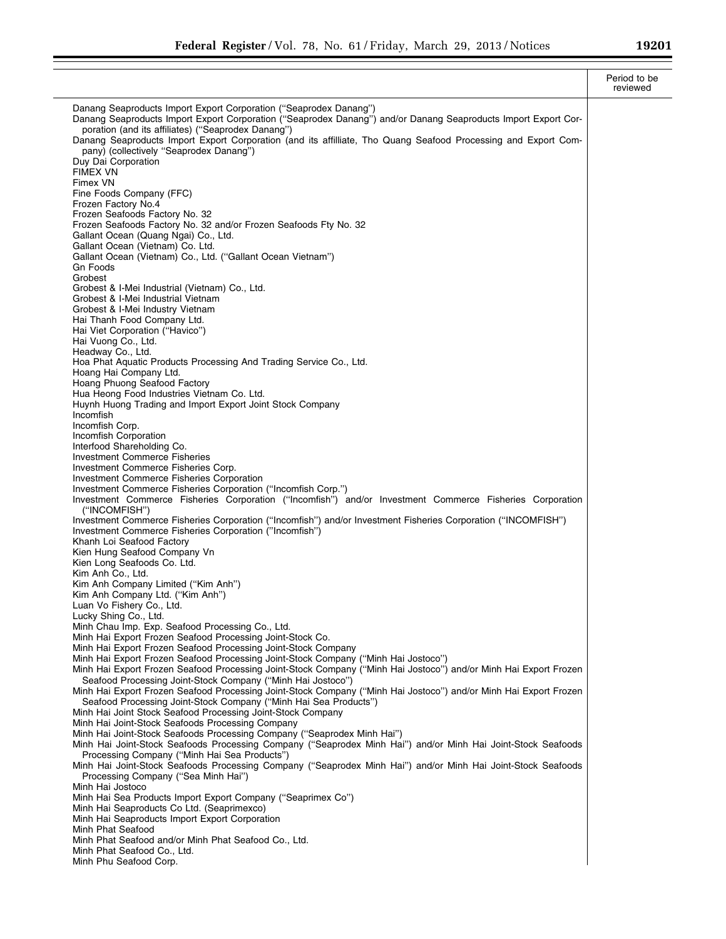|                                                                                                                                                                                                                                                                                                                                                                                                                                                  | Period to be<br>reviewed |
|--------------------------------------------------------------------------------------------------------------------------------------------------------------------------------------------------------------------------------------------------------------------------------------------------------------------------------------------------------------------------------------------------------------------------------------------------|--------------------------|
| Danang Seaproducts Import Export Corporation ("Seaprodex Danang")<br>Danang Seaproducts Import Export Corporation ("Seaprodex Danang") and/or Danang Seaproducts Import Export Cor-<br>poration (and its affiliates) ("Seaprodex Danang")<br>Danang Seaproducts Import Export Corporation (and its affilliate, Tho Quang Seafood Processing and Export Com-<br>pany) (collectively "Seaprodex Danang")<br>Duy Dai Corporation<br><b>FIMEX VN</b> |                          |
| Fimex VN                                                                                                                                                                                                                                                                                                                                                                                                                                         |                          |
| Fine Foods Company (FFC)                                                                                                                                                                                                                                                                                                                                                                                                                         |                          |
| Frozen Factory No.4<br>Frozen Seafoods Factory No. 32                                                                                                                                                                                                                                                                                                                                                                                            |                          |
| Frozen Seafoods Factory No. 32 and/or Frozen Seafoods Fty No. 32<br>Gallant Ocean (Quang Ngai) Co., Ltd.<br>Gallant Ocean (Vietnam) Co. Ltd.                                                                                                                                                                                                                                                                                                     |                          |
| Gallant Ocean (Vietnam) Co., Ltd. ("Gallant Ocean Vietnam")<br>Gn Foods                                                                                                                                                                                                                                                                                                                                                                          |                          |
| Grobest                                                                                                                                                                                                                                                                                                                                                                                                                                          |                          |
| Grobest & I-Mei Industrial (Vietnam) Co., Ltd.<br>Grobest & I-Mei Industrial Vietnam                                                                                                                                                                                                                                                                                                                                                             |                          |
| Grobest & I-Mei Industry Vietnam                                                                                                                                                                                                                                                                                                                                                                                                                 |                          |
| Hai Thanh Food Company Ltd.                                                                                                                                                                                                                                                                                                                                                                                                                      |                          |
| Hai Viet Corporation ("Havico")<br>Hai Vuong Co., Ltd.                                                                                                                                                                                                                                                                                                                                                                                           |                          |
| Headway Co., Ltd.                                                                                                                                                                                                                                                                                                                                                                                                                                |                          |
| Hoa Phat Aquatic Products Processing And Trading Service Co., Ltd.                                                                                                                                                                                                                                                                                                                                                                               |                          |
| Hoang Hai Company Ltd.                                                                                                                                                                                                                                                                                                                                                                                                                           |                          |
| Hoang Phuong Seafood Factory<br>Hua Heong Food Industries Vietnam Co. Ltd.                                                                                                                                                                                                                                                                                                                                                                       |                          |
| Huynh Huong Trading and Import Export Joint Stock Company                                                                                                                                                                                                                                                                                                                                                                                        |                          |
| Incomfish                                                                                                                                                                                                                                                                                                                                                                                                                                        |                          |
| Incomfish Corp.                                                                                                                                                                                                                                                                                                                                                                                                                                  |                          |
| Incomfish Corporation<br>Interfood Shareholding Co.                                                                                                                                                                                                                                                                                                                                                                                              |                          |
| <b>Investment Commerce Fisheries</b>                                                                                                                                                                                                                                                                                                                                                                                                             |                          |
| Investment Commerce Fisheries Corp.                                                                                                                                                                                                                                                                                                                                                                                                              |                          |
| <b>Investment Commerce Fisheries Corporation</b>                                                                                                                                                                                                                                                                                                                                                                                                 |                          |
| Investment Commerce Fisheries Corporation ("Incomfish Corp.")<br>Investment Commerce Fisheries Corporation ("Incomfish") and/or Investment Commerce Fisheries Corporation<br>("INCOMFISH")                                                                                                                                                                                                                                                       |                          |
| Investment Commerce Fisheries Corporation ("Incomfish") and/or Investment Fisheries Corporation ("INCOMFISH")<br>Investment Commerce Fisheries Corporation ("Incomfish")<br>Khanh Loi Seafood Factory                                                                                                                                                                                                                                            |                          |
| Kien Hung Seafood Company Vn                                                                                                                                                                                                                                                                                                                                                                                                                     |                          |
| Kien Long Seafoods Co. Ltd.                                                                                                                                                                                                                                                                                                                                                                                                                      |                          |
| Kim Anh Co., Ltd.<br>Kim Anh Company Limited ("Kim Anh")                                                                                                                                                                                                                                                                                                                                                                                         |                          |
| Kim Anh Company Ltd. ("Kim Anh")                                                                                                                                                                                                                                                                                                                                                                                                                 |                          |
| Luan Vo Fishery Co., Ltd.                                                                                                                                                                                                                                                                                                                                                                                                                        |                          |
| Lucky Shing Co., Ltd.                                                                                                                                                                                                                                                                                                                                                                                                                            |                          |
| Minh Chau Imp. Exp. Seafood Processing Co., Ltd.<br>Minh Hai Export Frozen Seafood Processing Joint-Stock Co.                                                                                                                                                                                                                                                                                                                                    |                          |
| Minh Hai Export Frozen Seafood Processing Joint-Stock Company                                                                                                                                                                                                                                                                                                                                                                                    |                          |
| Minh Hai Export Frozen Seafood Processing Joint-Stock Company ("Minh Hai Jostoco")                                                                                                                                                                                                                                                                                                                                                               |                          |
| Minh Hai Export Frozen Seafood Processing Joint-Stock Company ("Minh Hai Jostoco") and/or Minh Hai Export Frozen<br>Seafood Processing Joint-Stock Company ("Minh Hai Jostoco")                                                                                                                                                                                                                                                                  |                          |
| Minh Hai Export Frozen Seafood Processing Joint-Stock Company ("Minh Hai Jostoco") and/or Minh Hai Export Frozen                                                                                                                                                                                                                                                                                                                                 |                          |
| Seafood Processing Joint-Stock Company ("Minh Hai Sea Products")                                                                                                                                                                                                                                                                                                                                                                                 |                          |
| Minh Hai Joint Stock Seafood Processing Joint-Stock Company                                                                                                                                                                                                                                                                                                                                                                                      |                          |
| Minh Hai Joint-Stock Seafoods Processing Company<br>Minh Hai Joint-Stock Seafoods Processing Company ("Seaprodex Minh Hai")                                                                                                                                                                                                                                                                                                                      |                          |
| Minh Hai Joint-Stock Seafoods Processing Company ("Seaprodex Minh Hai") and/or Minh Hai Joint-Stock Seafoods                                                                                                                                                                                                                                                                                                                                     |                          |
| Processing Company ("Minh Hai Sea Products")                                                                                                                                                                                                                                                                                                                                                                                                     |                          |
| Minh Hai Joint-Stock Seafoods Processing Company ("Seaprodex Minh Hai") and/or Minh Hai Joint-Stock Seafoods<br>Processing Company ("Sea Minh Hai")                                                                                                                                                                                                                                                                                              |                          |
| Minh Hai Jostoco                                                                                                                                                                                                                                                                                                                                                                                                                                 |                          |
| Minh Hai Sea Products Import Export Company ("Seaprimex Co")<br>Minh Hai Seaproducts Co Ltd. (Seaprimexco)                                                                                                                                                                                                                                                                                                                                       |                          |
| Minh Hai Seaproducts Import Export Corporation                                                                                                                                                                                                                                                                                                                                                                                                   |                          |
| Minh Phat Seafood                                                                                                                                                                                                                                                                                                                                                                                                                                |                          |
| Minh Phat Seafood and/or Minh Phat Seafood Co., Ltd.                                                                                                                                                                                                                                                                                                                                                                                             |                          |
| Minh Phat Seafood Co., Ltd.<br>Minh Phu Seafood Corp.                                                                                                                                                                                                                                                                                                                                                                                            |                          |
|                                                                                                                                                                                                                                                                                                                                                                                                                                                  |                          |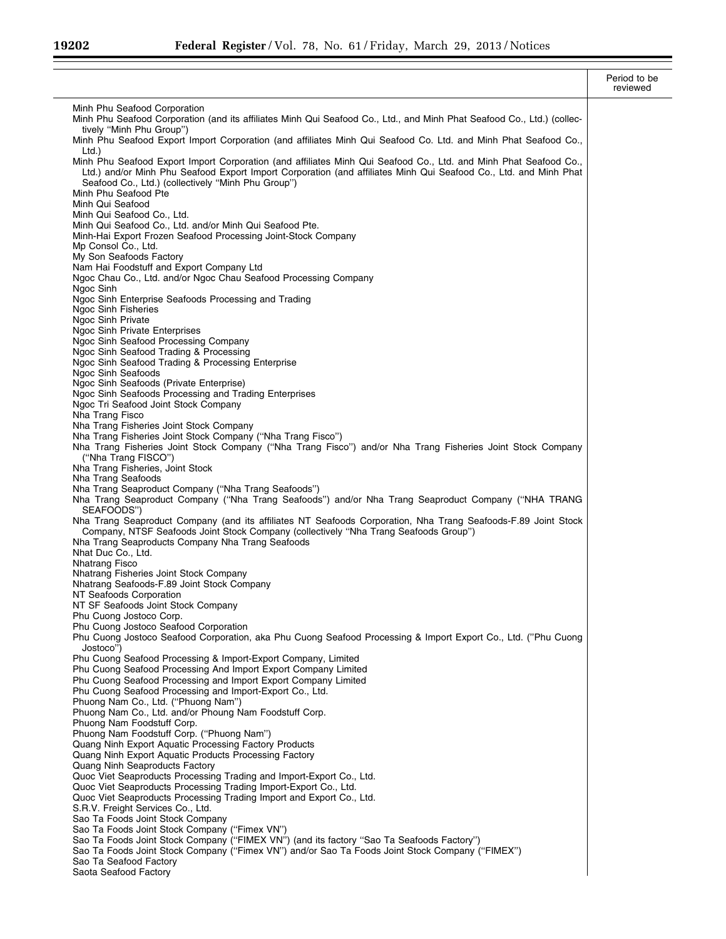$\equiv$ 

-

|                                                                                                                                                                                                                                                                                                                    | Period to be<br>reviewed |
|--------------------------------------------------------------------------------------------------------------------------------------------------------------------------------------------------------------------------------------------------------------------------------------------------------------------|--------------------------|
| Minh Phu Seafood Corporation<br>Minh Phu Seafood Corporation (and its affiliates Minh Qui Seafood Co., Ltd., and Minh Phat Seafood Co., Ltd.) (collec-<br>tively "Minh Phu Group")                                                                                                                                 |                          |
| Minh Phu Seafood Export Import Corporation (and affiliates Minh Qui Seafood Co. Ltd. and Minh Phat Seafood Co.,<br>Ltd.                                                                                                                                                                                            |                          |
| Minh Phu Seafood Export Import Corporation (and affiliates Minh Qui Seafood Co., Ltd. and Minh Phat Seafood Co.,<br>Ltd.) and/or Minh Phu Seafood Export Import Corporation (and affiliates Minh Qui Seafood Co., Ltd. and Minh Phat<br>Seafood Co., Ltd.) (collectively "Minh Phu Group")<br>Minh Phu Seafood Pte |                          |
| Minh Qui Seafood                                                                                                                                                                                                                                                                                                   |                          |
| Minh Qui Seafood Co., Ltd.<br>Minh Qui Seafood Co., Ltd. and/or Minh Qui Seafood Pte.<br>Minh-Hai Export Frozen Seafood Processing Joint-Stock Company                                                                                                                                                             |                          |
| Mp Consol Co., Ltd.<br>My Son Seafoods Factory                                                                                                                                                                                                                                                                     |                          |
| Nam Hai Foodstuff and Export Company Ltd<br>Ngoc Chau Co., Ltd. and/or Ngoc Chau Seafood Processing Company<br>Ngoc Sinh                                                                                                                                                                                           |                          |
| Ngoc Sinh Enterprise Seafoods Processing and Trading<br>Ngoc Sinh Fisheries                                                                                                                                                                                                                                        |                          |
| Ngoc Sinh Private                                                                                                                                                                                                                                                                                                  |                          |
| Ngoc Sinh Private Enterprises<br>Ngoc Sinh Seafood Processing Company                                                                                                                                                                                                                                              |                          |
| Ngoc Sinh Seafood Trading & Processing<br>Ngoc Sinh Seafood Trading & Processing Enterprise                                                                                                                                                                                                                        |                          |
| Ngoc Sinh Seafoods                                                                                                                                                                                                                                                                                                 |                          |
| Ngoc Sinh Seafoods (Private Enterprise)<br>Ngoc Sinh Seafoods Processing and Trading Enterprises                                                                                                                                                                                                                   |                          |
| Ngoc Tri Seafood Joint Stock Company<br>Nha Trang Fisco                                                                                                                                                                                                                                                            |                          |
| Nha Trang Fisheries Joint Stock Company<br>Nha Trang Fisheries Joint Stock Company ("Nha Trang Fisco")                                                                                                                                                                                                             |                          |
| Nha Trang Fisheries Joint Stock Company ("Nha Trang Fisco") and/or Nha Trang Fisheries Joint Stock Company                                                                                                                                                                                                         |                          |
| ("Nha Trang FISCO")<br>Nha Trang Fisheries, Joint Stock                                                                                                                                                                                                                                                            |                          |
| Nha Trang Seafoods<br>Nha Trang Seaproduct Company ("Nha Trang Seafoods")                                                                                                                                                                                                                                          |                          |
| Nha Trang Seaproduct Company ("Nha Trang Seafoods") and/or Nha Trang Seaproduct Company ("NHA TRANG<br>SEAFOODS")                                                                                                                                                                                                  |                          |
| Nha Trang Seaproduct Company (and its affiliates NT Seafoods Corporation, Nha Trang Seafoods-F.89 Joint Stock<br>Company, NTSF Seafoods Joint Stock Company (collectively "Nha Trang Seafoods Group")<br>Nha Trang Seaproducts Company Nha Trang Seafoods                                                          |                          |
| Nhat Duc Co., Ltd.<br><b>Nhatrang Fisco</b>                                                                                                                                                                                                                                                                        |                          |
| Nhatrang Fisheries Joint Stock Company<br>Nhatrang Seafoods-F.89 Joint Stock Company<br>NT Seafoods Corporation                                                                                                                                                                                                    |                          |
| NT SF Seafoods Joint Stock Company                                                                                                                                                                                                                                                                                 |                          |
| Phu Cuong Jostoco Corp.<br>Phu Cuong Jostoco Seafood Corporation                                                                                                                                                                                                                                                   |                          |
| Phu Cuong Jostoco Seafood Corporation, aka Phu Cuong Seafood Processing & Import Export Co., Ltd. ("Phu Cuong<br>Jostoco")                                                                                                                                                                                         |                          |
| Phu Cuong Seafood Processing & Import-Export Company, Limited<br>Phu Cuong Seafood Processing And Import Export Company Limited<br>Phu Cuong Seafood Processing and Import Export Company Limited                                                                                                                  |                          |
| Phu Cuong Seafood Processing and Import-Export Co., Ltd.                                                                                                                                                                                                                                                           |                          |
| Phuong Nam Co., Ltd. ("Phuong Nam")<br>Phuong Nam Co., Ltd. and/or Phoung Nam Foodstuff Corp.                                                                                                                                                                                                                      |                          |
| Phuong Nam Foodstuff Corp.<br>Phuong Nam Foodstuff Corp. ("Phuong Nam")                                                                                                                                                                                                                                            |                          |
| Quang Ninh Export Aquatic Processing Factory Products<br>Quang Ninh Export Aquatic Products Processing Factory                                                                                                                                                                                                     |                          |
| <b>Quang Ninh Seaproducts Factory</b>                                                                                                                                                                                                                                                                              |                          |
| Quoc Viet Seaproducts Processing Trading and Import-Export Co., Ltd.<br>Quoc Viet Seaproducts Processing Trading Import-Export Co., Ltd.                                                                                                                                                                           |                          |
| Quoc Viet Seaproducts Processing Trading Import and Export Co., Ltd.<br>S.R.V. Freight Services Co., Ltd.                                                                                                                                                                                                          |                          |
| Sao Ta Foods Joint Stock Company                                                                                                                                                                                                                                                                                   |                          |
| Sao Ta Foods Joint Stock Company ("Fimex VN")<br>Sao Ta Foods Joint Stock Company ("FIMEX VN") (and its factory "Sao Ta Seafoods Factory")                                                                                                                                                                         |                          |
| Sao Ta Foods Joint Stock Company ("Fimex VN") and/or Sao Ta Foods Joint Stock Company ("FIMEX")<br>Sao Ta Seafood Factory                                                                                                                                                                                          |                          |
| Saota Seafood Factory                                                                                                                                                                                                                                                                                              |                          |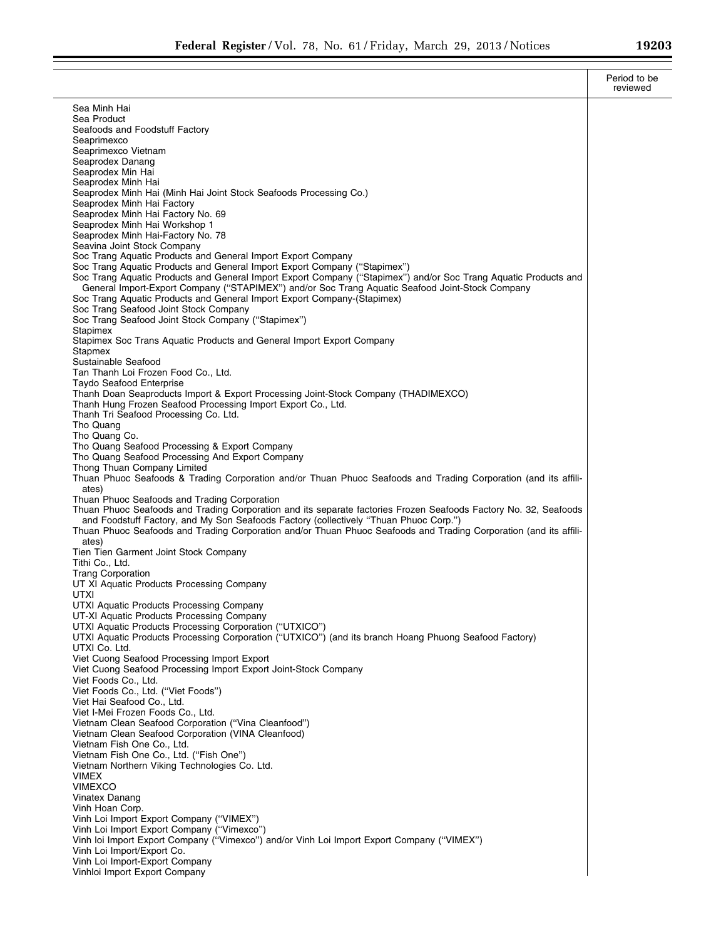t

|                                                                                                                                                                                                            | Period to be<br>reviewed |
|------------------------------------------------------------------------------------------------------------------------------------------------------------------------------------------------------------|--------------------------|
| Sea Minh Hai                                                                                                                                                                                               |                          |
| Sea Product                                                                                                                                                                                                |                          |
| Seafoods and Foodstuff Factory<br>Seaprimexco                                                                                                                                                              |                          |
| Seaprimexco Vietnam                                                                                                                                                                                        |                          |
| Seaprodex Danang                                                                                                                                                                                           |                          |
| Seaprodex Min Hai<br>Seaprodex Minh Hai                                                                                                                                                                    |                          |
| Seaprodex Minh Hai (Minh Hai Joint Stock Seafoods Processing Co.)                                                                                                                                          |                          |
| Seaprodex Minh Hai Factory                                                                                                                                                                                 |                          |
| Seaprodex Minh Hai Factory No. 69<br>Seaprodex Minh Hai Workshop 1                                                                                                                                         |                          |
| Seaprodex Minh Hai-Factory No. 78                                                                                                                                                                          |                          |
| Seavina Joint Stock Company                                                                                                                                                                                |                          |
| Soc Trang Aquatic Products and General Import Export Company<br>Soc Trang Aquatic Products and General Import Export Company ("Stapimex")                                                                  |                          |
| Soc Trang Aquatic Products and General Import Export Company ("Stapimex") and/or Soc Trang Aquatic Products and                                                                                            |                          |
| General Import-Export Company ("STAPIMEX") and/or Soc Trang Aquatic Seafood Joint-Stock Company                                                                                                            |                          |
| Soc Trang Aquatic Products and General Import Export Company-(Stapimex)<br>Soc Trang Seafood Joint Stock Company                                                                                           |                          |
| Soc Trang Seafood Joint Stock Company ("Stapimex")                                                                                                                                                         |                          |
| Stapimex                                                                                                                                                                                                   |                          |
| Stapimex Soc Trans Aquatic Products and General Import Export Company                                                                                                                                      |                          |
| Stapmex<br>Sustainable Seafood                                                                                                                                                                             |                          |
| Tan Thanh Loi Frozen Food Co., Ltd.                                                                                                                                                                        |                          |
| Taydo Seafood Enterprise                                                                                                                                                                                   |                          |
| Thanh Doan Seaproducts Import & Export Processing Joint-Stock Company (THADIMEXCO)<br>Thanh Hung Frozen Seafood Processing Import Export Co., Ltd.                                                         |                          |
| Thanh Tri Seafood Processing Co. Ltd.                                                                                                                                                                      |                          |
| Tho Quang                                                                                                                                                                                                  |                          |
| Tho Quang Co.<br>Tho Quang Seafood Processing & Export Company                                                                                                                                             |                          |
| Tho Quang Seafood Processing And Export Company                                                                                                                                                            |                          |
| Thong Thuan Company Limited                                                                                                                                                                                |                          |
| Thuan Phuoc Seafoods & Trading Corporation and/or Thuan Phuoc Seafoods and Trading Corporation (and its affili-<br>ates)                                                                                   |                          |
| Thuan Phuoc Seafoods and Trading Corporation                                                                                                                                                               |                          |
| Thuan Phuoc Seafoods and Trading Corporation and its separate factories Frozen Seafoods Factory No. 32, Seafoods                                                                                           |                          |
| and Foodstuff Factory, and My Son Seafoods Factory (collectively "Thuan Phuoc Corp.")<br>Thuan Phuoc Seafoods and Trading Corporation and/or Thuan Phuoc Seafoods and Trading Corporation (and its affili- |                          |
| ates)                                                                                                                                                                                                      |                          |
| Tien Tien Garment Joint Stock Company                                                                                                                                                                      |                          |
| Tithi Co., Ltd.                                                                                                                                                                                            |                          |
| <b>Trang Corporation</b><br>UT XI Aquatic Products Processing Company                                                                                                                                      |                          |
| UTXI                                                                                                                                                                                                       |                          |
| <b>UTXI Aquatic Products Processing Company</b>                                                                                                                                                            |                          |
| UT-XI Aquatic Products Processing Company<br>UTXI Aquatic Products Processing Corporation ("UTXICO")                                                                                                       |                          |
| UTXI Aquatic Products Processing Corporation ("UTXICO") (and its branch Hoang Phuong Seafood Factory)                                                                                                      |                          |
| UTXI Co. Ltd.                                                                                                                                                                                              |                          |
| Viet Cuong Seafood Processing Import Export<br>Viet Cuong Seafood Processing Import Export Joint-Stock Company                                                                                             |                          |
| Viet Foods Co., Ltd.                                                                                                                                                                                       |                          |
| Viet Foods Co., Ltd. ("Viet Foods")                                                                                                                                                                        |                          |
| Viet Hai Seafood Co., Ltd.<br>Viet I-Mei Frozen Foods Co., Ltd.                                                                                                                                            |                          |
| Vietnam Clean Seafood Corporation ("Vina Cleanfood")                                                                                                                                                       |                          |
| Vietnam Clean Seafood Corporation (VINA Cleanfood)                                                                                                                                                         |                          |
| Vietnam Fish One Co., Ltd.                                                                                                                                                                                 |                          |
| Vietnam Fish One Co., Ltd. ("Fish One")<br>Vietnam Northern Viking Technologies Co. Ltd.                                                                                                                   |                          |
| <b>VIMEX</b>                                                                                                                                                                                               |                          |
| <b>VIMEXCO</b>                                                                                                                                                                                             |                          |
| Vinatex Danang<br>Vinh Hoan Corp.                                                                                                                                                                          |                          |
| Vinh Loi Import Export Company ("VIMEX")                                                                                                                                                                   |                          |
| Vinh Loi Import Export Company ("Vimexco")                                                                                                                                                                 |                          |
| Vinh loi Import Export Company ("Vimexco") and/or Vinh Loi Import Export Company ("VIMEX")<br>Vinh Loi Import/Export Co.                                                                                   |                          |
| Vinh Loi Import-Export Company                                                                                                                                                                             |                          |
| Vinhloi Import Export Company                                                                                                                                                                              |                          |
|                                                                                                                                                                                                            |                          |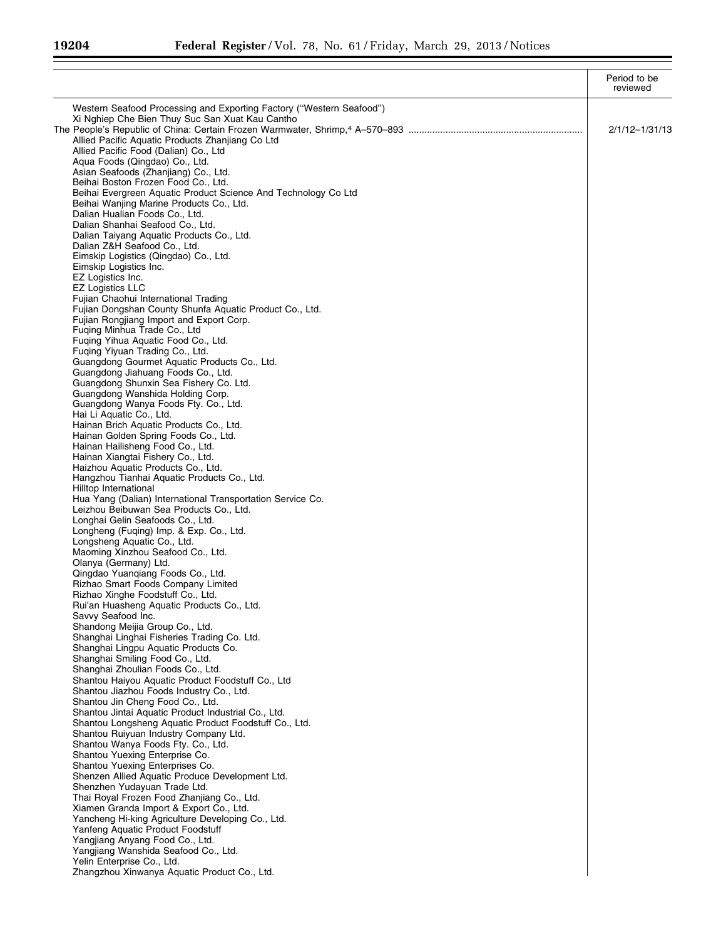$\equiv$ 

|                                                                                                     | Period to be<br>reviewed |
|-----------------------------------------------------------------------------------------------------|--------------------------|
| Western Seafood Processing and Exporting Factory ("Western Seafood")                                |                          |
| Xi Nghiep Che Bien Thuy Suc San Xuat Kau Cantho                                                     |                          |
|                                                                                                     | 2/1/12-1/31/13           |
| Allied Pacific Aquatic Products Zhanjiang Co Ltd<br>Allied Pacific Food (Dalian) Co., Ltd           |                          |
| Aqua Foods (Qingdao) Co., Ltd.                                                                      |                          |
| Asian Seafoods (Zhanjiang) Co., Ltd.                                                                |                          |
| Beihai Boston Frozen Food Co., Ltd.                                                                 |                          |
| Beihai Evergreen Aquatic Product Science And Technology Co Ltd                                      |                          |
| Beihai Wanjing Marine Products Co., Ltd.                                                            |                          |
| Dalian Hualian Foods Co., Ltd.                                                                      |                          |
| Dalian Shanhai Seafood Co., Ltd.<br>Dalian Taiyang Aquatic Products Co., Ltd.                       |                          |
| Dalian Z&H Seafood Co., Ltd.                                                                        |                          |
| Eimskip Logistics (Qingdao) Co., Ltd.                                                               |                          |
| Eimskip Logistics Inc.                                                                              |                          |
| EZ Logistics Inc.                                                                                   |                          |
| <b>EZ Logistics LLC</b>                                                                             |                          |
| Fujian Chaohui International Trading                                                                |                          |
| Fujian Dongshan County Shunfa Aquatic Product Co., Ltd.<br>Fujian Rongjiang Import and Export Corp. |                          |
| Fuging Minhua Trade Co., Ltd                                                                        |                          |
| Fuging Yihua Aquatic Food Co., Ltd.                                                                 |                          |
| Fuging Yiyuan Trading Co., Ltd.                                                                     |                          |
| Guangdong Gourmet Aquatic Products Co., Ltd.                                                        |                          |
| Guangdong Jiahuang Foods Co., Ltd.                                                                  |                          |
| Guangdong Shunxin Sea Fishery Co. Ltd.                                                              |                          |
| Guangdong Wanshida Holding Corp.<br>Guangdong Wanya Foods Fty. Co., Ltd.                            |                          |
| Hai Li Aquatic Co., Ltd.                                                                            |                          |
| Hainan Brich Aquatic Products Co., Ltd.                                                             |                          |
| Hainan Golden Spring Foods Co., Ltd.                                                                |                          |
| Hainan Hailisheng Food Co., Ltd.                                                                    |                          |
| Hainan Xiangtai Fishery Co., Ltd.                                                                   |                          |
| Haizhou Aquatic Products Co., Ltd.                                                                  |                          |
| Hangzhou Tianhai Aquatic Products Co., Ltd.<br>Hilltop International                                |                          |
| Hua Yang (Dalian) International Transportation Service Co.                                          |                          |
| Leizhou Beibuwan Sea Products Co., Ltd.                                                             |                          |
| Longhai Gelin Seafoods Co., Ltd.                                                                    |                          |
| Longheng (Fuqing) Imp. & Exp. Co., Ltd.                                                             |                          |
| Longsheng Aquatic Co., Ltd.                                                                         |                          |
| Maoming Xinzhou Seafood Co., Ltd.<br>Olanya (Germany) Ltd.                                          |                          |
| Qingdao Yuanqiang Foods Co., Ltd.                                                                   |                          |
| Rizhao Smart Foods Company Limited                                                                  |                          |
| Rizhao Xinghe Foodstuff Co., Ltd.                                                                   |                          |
| Rui'an Huasheng Aquatic Products Co., Ltd.                                                          |                          |
| Savvy Seafood Inc.                                                                                  |                          |
| Shandong Meijia Group Co., Ltd.                                                                     |                          |
| Shanghai Linghai Fisheries Trading Co. Ltd.                                                         |                          |
| Shanghai Lingpu Aquatic Products Co.<br>Shanghai Smiling Food Co., Ltd.                             |                          |
| Shanghai Zhoulian Foods Co., Ltd.                                                                   |                          |
| Shantou Haiyou Aquatic Product Foodstuff Co., Ltd                                                   |                          |
| Shantou Jiazhou Foods Industry Co., Ltd.                                                            |                          |
| Shantou Jin Cheng Food Co., Ltd.                                                                    |                          |
| Shantou Jintai Aquatic Product Industrial Co., Ltd.                                                 |                          |
| Shantou Longsheng Aquatic Product Foodstuff Co., Ltd.                                               |                          |
| Shantou Ruiyuan Industry Company Ltd.<br>Shantou Wanya Foods Fty. Co., Ltd.                         |                          |
| Shantou Yuexing Enterprise Co.                                                                      |                          |
| Shantou Yuexing Enterprises Co.                                                                     |                          |
| Shenzen Allied Aquatic Produce Development Ltd.                                                     |                          |
| Shenzhen Yudayuan Trade Ltd.                                                                        |                          |
| Thai Royal Frozen Food Zhanjiang Co., Ltd.                                                          |                          |
| Xiamen Granda Import & Export Co., Ltd.                                                             |                          |
| Yancheng Hi-king Agriculture Developing Co., Ltd.                                                   |                          |
| Yanfeng Aquatic Product Foodstuff                                                                   |                          |
| Yangjiang Anyang Food Co., Ltd.<br>Yangjiang Wanshida Seafood Co., Ltd.                             |                          |
| Yelin Enterprise Co., Ltd.                                                                          |                          |
| Zhangzhou Xinwanya Aquatic Product Co., Ltd.                                                        |                          |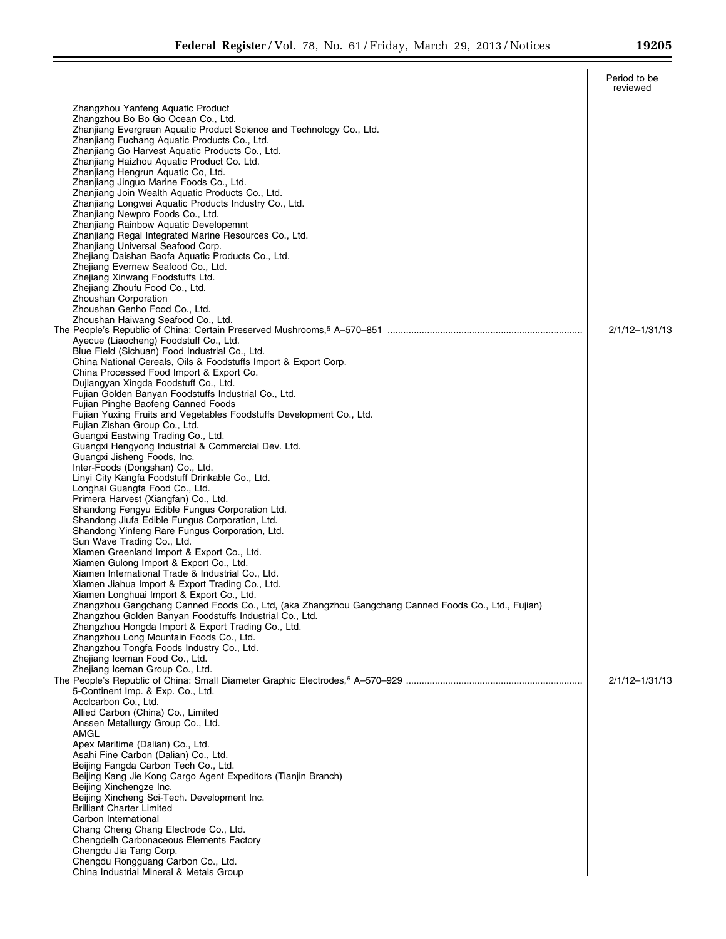|                                                                                                                                                                                                                                                                                                                                                                                                                                                                                                                                                                                                                                                                                                                                                                                                                                            | Period to be<br>reviewed |
|--------------------------------------------------------------------------------------------------------------------------------------------------------------------------------------------------------------------------------------------------------------------------------------------------------------------------------------------------------------------------------------------------------------------------------------------------------------------------------------------------------------------------------------------------------------------------------------------------------------------------------------------------------------------------------------------------------------------------------------------------------------------------------------------------------------------------------------------|--------------------------|
| Zhangzhou Yanfeng Aquatic Product<br>Zhangzhou Bo Bo Go Ocean Co., Ltd.<br>Zhanjiang Evergreen Aquatic Product Science and Technology Co., Ltd.<br>Zhanjiang Fuchang Aquatic Products Co., Ltd.<br>Zhanjiang Go Harvest Aquatic Products Co., Ltd.<br>Zhanjiang Haizhou Aquatic Product Co. Ltd.<br>Zhanjiang Hengrun Aquatic Co, Ltd.<br>Zhanjiang Jinguo Marine Foods Co., Ltd.<br>Zhanjiang Join Wealth Aquatic Products Co., Ltd.<br>Zhanjiang Longwei Aguatic Products Industry Co., Ltd.<br>Zhanjiang Newpro Foods Co., Ltd.<br>Zhanjiang Rainbow Aquatic Developemnt<br>Zhanjiang Regal Integrated Marine Resources Co., Ltd.<br>Zhanjiang Universal Seafood Corp.<br>Zhejiang Daishan Baofa Aquatic Products Co., Ltd.<br>Zhejiang Evernew Seafood Co., Ltd.<br>Zhejiang Xinwang Foodstuffs Ltd.<br>Zhejiang Zhoufu Food Co., Ltd. |                          |
| Zhoushan Corporation<br>Zhoushan Genho Food Co., Ltd.<br>Zhoushan Haiwang Seafood Co., Ltd.<br>Ayecue (Liaocheng) Foodstuff Co., Ltd.<br>Blue Field (Sichuan) Food Industrial Co., Ltd.<br>China National Cereals, Oils & Foodstuffs Import & Export Corp.                                                                                                                                                                                                                                                                                                                                                                                                                                                                                                                                                                                 | 2/1/12-1/31/13           |
| China Processed Food Import & Export Co.<br>Dujiangyan Xingda Foodstuff Co., Ltd.<br>Fujian Golden Banyan Foodstuffs Industrial Co., Ltd.<br>Fujian Pinghe Baofeng Canned Foods<br>Fujian Yuxing Fruits and Vegetables Foodstuffs Development Co., Ltd.<br>Fujian Zishan Group Co., Ltd.<br>Guangxi Eastwing Trading Co., Ltd.<br>Guangxi Hengyong Industrial & Commercial Dev. Ltd.<br>Guangxi Jisheng Foods, Inc.<br>Inter-Foods (Dongshan) Co., Ltd.<br>Linyi City Kangfa Foodstuff Drinkable Co., Ltd.<br>Longhai Guangfa Food Co., Ltd.<br>Primera Harvest (Xiangfan) Co., Ltd.<br>Shandong Fengyu Edible Fungus Corporation Ltd.<br>Shandong Jiufa Edible Fungus Corporation, Ltd.                                                                                                                                                   |                          |
| Shandong Yinfeng Rare Fungus Corporation, Ltd.<br>Sun Wave Trading Co., Ltd.<br>Xiamen Greenland Import & Export Co., Ltd.<br>Xiamen Gulong Import & Export Co., Ltd.<br>Xiamen International Trade & Industrial Co., Ltd.<br>Xiamen Jiahua Import & Export Trading Co., Ltd.<br>Xiamen Longhuai Import & Export Co., Ltd.<br>Zhangzhou Gangchang Canned Foods Co., Ltd, (aka Zhangzhou Gangchang Canned Foods Co., Ltd., Fujian)<br>Zhangzhou Golden Banyan Foodstuffs Industrial Co., Ltd.<br>Zhangzhou Hongda Import & Export Trading Co., Ltd.<br>Zhangzhou Long Mountain Foods Co., Ltd.<br>Zhangzhou Tongfa Foods Industry Co., Ltd.<br>Zhejiang Iceman Food Co., Ltd.<br>Zhejiang Iceman Group Co., Ltd.                                                                                                                            | 2/1/12-1/31/13           |
| 5-Continent Imp. & Exp. Co., Ltd.<br>Acclcarbon Co., Ltd.<br>Allied Carbon (China) Co., Limited<br>Anssen Metallurgy Group Co., Ltd.<br>AMGL<br>Apex Maritime (Dalian) Co., Ltd.<br>Asahi Fine Carbon (Dalian) Co., Ltd.<br>Beijing Fangda Carbon Tech Co., Ltd.<br>Beijing Kang Jie Kong Cargo Agent Expeditors (Tianjin Branch)<br>Beijing Xinchengze Inc.<br>Beijing Xincheng Sci-Tech. Development Inc.<br><b>Brilliant Charter Limited</b><br>Carbon International<br>Chang Cheng Chang Electrode Co., Ltd.<br>Chengdelh Carbonaceous Elements Factory<br>Chengdu Jia Tang Corp.<br>Chengdu Rongguang Carbon Co., Ltd.<br>China Industrial Mineral & Metals Group                                                                                                                                                                     |                          |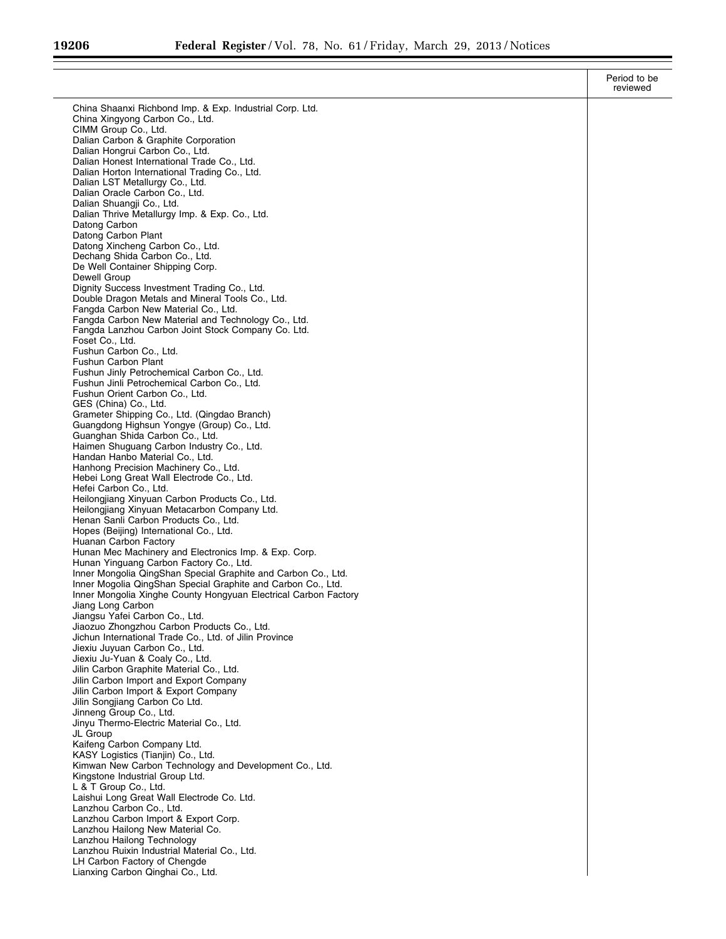Ξ

|                                                                                                                                 | Period to be<br>reviewed |
|---------------------------------------------------------------------------------------------------------------------------------|--------------------------|
| China Shaanxi Richbond Imp. & Exp. Industrial Corp. Ltd.                                                                        |                          |
| China Xingyong Carbon Co., Ltd.                                                                                                 |                          |
| CIMM Group Co., Ltd.<br>Dalian Carbon & Graphite Corporation                                                                    |                          |
| Dalian Hongrui Carbon Co., Ltd.                                                                                                 |                          |
| Dalian Honest International Trade Co., Ltd.                                                                                     |                          |
| Dalian Horton International Trading Co., Ltd.                                                                                   |                          |
| Dalian LST Metallurgy Co., Ltd.<br>Dalian Oracle Carbon Co., Ltd.                                                               |                          |
| Dalian Shuangji Co., Ltd.                                                                                                       |                          |
| Dalian Thrive Metallurgy Imp. & Exp. Co., Ltd.                                                                                  |                          |
| Datong Carbon<br>Datong Carbon Plant                                                                                            |                          |
| Datong Xincheng Carbon Co., Ltd.                                                                                                |                          |
| Dechang Shida Carbon Co., Ltd.                                                                                                  |                          |
| De Well Container Shipping Corp.<br>Dewell Group                                                                                |                          |
| Dignity Success Investment Trading Co., Ltd.                                                                                    |                          |
| Double Dragon Metals and Mineral Tools Co., Ltd.                                                                                |                          |
| Fangda Carbon New Material Co., Ltd.<br>Fangda Carbon New Material and Technology Co., Ltd.                                     |                          |
| Fangda Lanzhou Carbon Joint Stock Company Co. Ltd.                                                                              |                          |
| Foset Co., Ltd.                                                                                                                 |                          |
| Fushun Carbon Co., Ltd.<br><b>Fushun Carbon Plant</b>                                                                           |                          |
| Fushun Jinly Petrochemical Carbon Co., Ltd.                                                                                     |                          |
| Fushun Jinli Petrochemical Carbon Co., Ltd.                                                                                     |                          |
| Fushun Orient Carbon Co., Ltd.                                                                                                  |                          |
| GES (China) Co., Ltd.<br>Grameter Shipping Co., Ltd. (Qingdao Branch)                                                           |                          |
| Guangdong Highsun Yongye (Group) Co., Ltd.                                                                                      |                          |
| Guanghan Shida Carbon Co., Ltd.                                                                                                 |                          |
| Haimen Shuguang Carbon Industry Co., Ltd.<br>Handan Hanbo Material Co., Ltd.                                                    |                          |
| Hanhong Precision Machinery Co., Ltd.                                                                                           |                          |
| Hebei Long Great Wall Electrode Co., Ltd.                                                                                       |                          |
| Hefei Carbon Co., Ltd.<br>Heilongjiang Xinyuan Carbon Products Co., Ltd.                                                        |                          |
| Heilongjiang Xinyuan Metacarbon Company Ltd.                                                                                    |                          |
| Henan Sanli Carbon Products Co., Ltd.                                                                                           |                          |
| Hopes (Beijing) International Co., Ltd.<br>Huanan Carbon Factory                                                                |                          |
| Hunan Mec Machinery and Electronics Imp. & Exp. Corp.                                                                           |                          |
| Hunan Yinguang Carbon Factory Co., Ltd.                                                                                         |                          |
| Inner Mongolia QingShan Special Graphite and Carbon Co., Ltd.                                                                   |                          |
| Inner Mogolia QingShan Special Graphite and Carbon Co., Ltd.<br>Inner Mongolia Xinghe County Hongyuan Electrical Carbon Factory |                          |
| Jiang Long Carbon                                                                                                               |                          |
| Jiangsu Yafei Carbon Co., Ltd.                                                                                                  |                          |
| Jiaozuo Zhongzhou Carbon Products Co., Ltd.<br>Jichun International Trade Co., Ltd. of Jilin Province                           |                          |
| Jiexiu Juyuan Carbon Co., Ltd.                                                                                                  |                          |
| Jiexiu Ju-Yuan & Coaly Co., Ltd.                                                                                                |                          |
| Jilin Carbon Graphite Material Co., Ltd.<br>Jilin Carbon Import and Export Company                                              |                          |
| Jilin Carbon Import & Export Company                                                                                            |                          |
| Jilin Songjiang Carbon Co Ltd.                                                                                                  |                          |
| Jinneng Group Co., Ltd.<br>Jinyu Thermo-Electric Material Co., Ltd.                                                             |                          |
| JL Group                                                                                                                        |                          |
| Kaifeng Carbon Company Ltd.                                                                                                     |                          |
| KASY Logistics (Tianjin) Co., Ltd.                                                                                              |                          |
| Kimwan New Carbon Technology and Development Co., Ltd.<br>Kingstone Industrial Group Ltd.                                       |                          |
| L & T Group Co., Ltd.                                                                                                           |                          |
| Laishui Long Great Wall Electrode Co. Ltd.                                                                                      |                          |
| Lanzhou Carbon Co., Ltd.<br>Lanzhou Carbon Import & Export Corp.                                                                |                          |
| Lanzhou Hailong New Material Co.                                                                                                |                          |
| Lanzhou Hailong Technology                                                                                                      |                          |
| Lanzhou Ruixin Industrial Material Co., Ltd.                                                                                    |                          |
| LH Carbon Factory of Chengde<br>Lianxing Carbon Qinghai Co., Ltd.                                                               |                          |
|                                                                                                                                 |                          |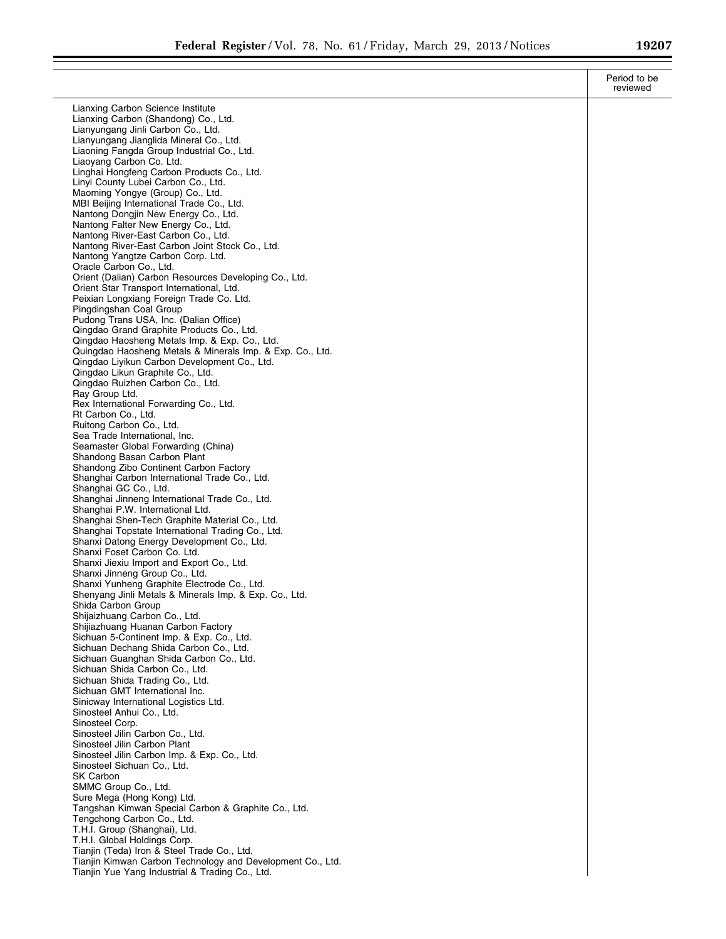|                                                                                                            | Period to be<br>reviewed |
|------------------------------------------------------------------------------------------------------------|--------------------------|
| Lianxing Carbon Science Institute                                                                          |                          |
| Lianxing Carbon (Shandong) Co., Ltd.                                                                       |                          |
| Lianyungang Jinli Carbon Co., Ltd.<br>Lianyungang Jianglida Mineral Co., Ltd.                              |                          |
| Liaoning Fangda Group Industrial Co., Ltd.                                                                 |                          |
| Liaoyang Carbon Co. Ltd.                                                                                   |                          |
| Linghai Hongfeng Carbon Products Co., Ltd.<br>Linyi County Lubei Carbon Co., Ltd.                          |                          |
| Maoming Yongye (Group) Co., Ltd.                                                                           |                          |
| MBI Beijing International Trade Co., Ltd.                                                                  |                          |
| Nantong Dongjin New Energy Co., Ltd.<br>Nantong Falter New Energy Co., Ltd.                                |                          |
| Nantong River-East Carbon Co., Ltd.                                                                        |                          |
| Nantong River-East Carbon Joint Stock Co., Ltd.                                                            |                          |
| Nantong Yangtze Carbon Corp. Ltd.<br>Oracle Carbon Co., Ltd.                                               |                          |
| Orient (Dalian) Carbon Resources Developing Co., Ltd.                                                      |                          |
| Orient Star Transport International, Ltd.                                                                  |                          |
| Peixian Longxiang Foreign Trade Co. Ltd.<br>Pingdingshan Coal Group                                        |                          |
| Pudong Trans USA, Inc. (Dalian Office)                                                                     |                          |
| Qingdao Grand Graphite Products Co., Ltd.                                                                  |                          |
| Qingdao Haosheng Metals Imp. & Exp. Co., Ltd.<br>Quingdao Haosheng Metals & Minerals Imp. & Exp. Co., Ltd. |                          |
| Qingdao Liyikun Carbon Development Co., Ltd.                                                               |                          |
| Qingdao Likun Graphite Co., Ltd.                                                                           |                          |
| Qingdao Ruizhen Carbon Co., Ltd.                                                                           |                          |
| Ray Group Ltd.<br>Rex International Forwarding Co., Ltd.                                                   |                          |
| Rt Carbon Co., Ltd.                                                                                        |                          |
| Ruitong Carbon Co., Ltd.                                                                                   |                          |
| Sea Trade International, Inc.<br>Seamaster Global Forwarding (China)                                       |                          |
| Shandong Basan Carbon Plant                                                                                |                          |
| Shandong Zibo Continent Carbon Factory                                                                     |                          |
| Shanghai Carbon International Trade Co., Ltd.<br>Shanghai GC Co., Ltd.                                     |                          |
| Shanghai Jinneng International Trade Co., Ltd.                                                             |                          |
| Shanghai P.W. International Ltd.                                                                           |                          |
| Shanghai Shen-Tech Graphite Material Co., Ltd.<br>Shanghai Topstate International Trading Co., Ltd.        |                          |
| Shanxi Datong Energy Development Co., Ltd.                                                                 |                          |
| Shanxi Foset Carbon Co. Ltd.                                                                               |                          |
| Shanxi Jiexiu Import and Export Co., Ltd.                                                                  |                          |
| Shanxi Jinneng Group Co., Ltd.<br>Shanxi Yunheng Graphite Electrode Co., Ltd.                              |                          |
| Shenyang Jinli Metals & Minerals Imp. & Exp. Co., Ltd.                                                     |                          |
| Shida Carbon Group                                                                                         |                          |
| Shijaizhuang Carbon Co., Ltd.<br>Shijiazhuang Huanan Carbon Factory                                        |                          |
| Sichuan 5-Continent Imp. & Exp. Co., Ltd.                                                                  |                          |
| Sichuan Dechang Shida Carbon Co., Ltd.                                                                     |                          |
| Sichuan Guanghan Shida Carbon Co., Ltd.<br>Sichuan Shida Carbon Co., Ltd.                                  |                          |
| Sichuan Shida Trading Co., Ltd.                                                                            |                          |
| Sichuan GMT International Inc.                                                                             |                          |
| Sinicway International Logistics Ltd.<br>Sinosteel Anhui Co., Ltd.                                         |                          |
| Sinosteel Corp.                                                                                            |                          |
| Sinosteel Jilin Carbon Co., Ltd.                                                                           |                          |
| Sinosteel Jilin Carbon Plant                                                                               |                          |
| Sinosteel Jilin Carbon Imp. & Exp. Co., Ltd.<br>Sinosteel Sichuan Co., Ltd.                                |                          |
| <b>SK Carbon</b>                                                                                           |                          |
| SMMC Group Co., Ltd.                                                                                       |                          |
| Sure Mega (Hong Kong) Ltd.<br>Tangshan Kimwan Special Carbon & Graphite Co., Ltd.                          |                          |
| Tengchong Carbon Co., Ltd.                                                                                 |                          |
| T.H.I. Group (Shanghai), Ltd.                                                                              |                          |
| T.H.I. Global Holdings Corp.<br>Tianjin (Teda) Iron & Steel Trade Co., Ltd.                                |                          |
| Tianjin Kimwan Carbon Technology and Development Co., Ltd.                                                 |                          |
| Tianjin Yue Yang Industrial & Trading Co., Ltd.                                                            |                          |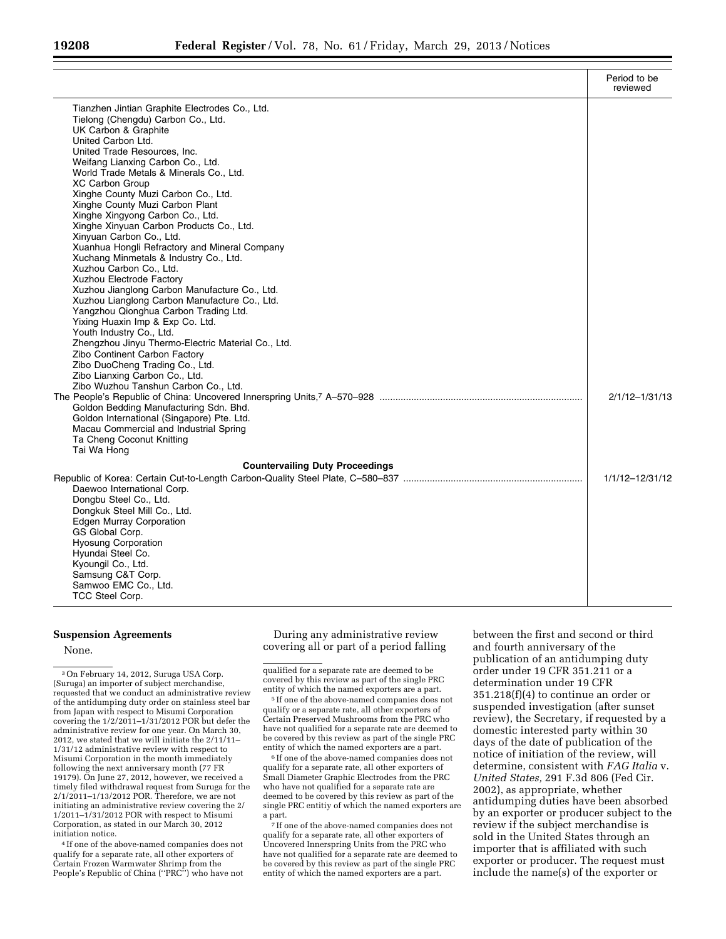|                                                                   | Period to be<br>reviewed |
|-------------------------------------------------------------------|--------------------------|
| Tianzhen Jintian Graphite Electrodes Co., Ltd.                    |                          |
| Tielong (Chengdu) Carbon Co., Ltd.                                |                          |
| UK Carbon & Graphite                                              |                          |
| United Carbon Ltd.                                                |                          |
| United Trade Resources, Inc.                                      |                          |
| Weifang Lianxing Carbon Co., Ltd.                                 |                          |
| World Trade Metals & Minerals Co., Ltd.                           |                          |
| <b>XC Carbon Group</b>                                            |                          |
| Xinghe County Muzi Carbon Co., Ltd.                               |                          |
| Xinghe County Muzi Carbon Plant                                   |                          |
| Xinghe Xingyong Carbon Co., Ltd.                                  |                          |
| Xinghe Xinyuan Carbon Products Co., Ltd.                          |                          |
| Xinyuan Carbon Co., Ltd.                                          |                          |
| Xuanhua Hongli Refractory and Mineral Company                     |                          |
| Xuchang Minmetals & Industry Co., Ltd.                            |                          |
| Xuzhou Carbon Co., Ltd.                                           |                          |
| Xuzhou Electrode Factory                                          |                          |
| Xuzhou Jianglong Carbon Manufacture Co., Ltd.                     |                          |
| Xuzhou Lianglong Carbon Manufacture Co., Ltd.                     |                          |
| Yangzhou Qionghua Carbon Trading Ltd.                             |                          |
| Yixing Huaxin Imp & Exp Co. Ltd.                                  |                          |
| Youth Industry Co., Ltd.                                          |                          |
| Zhengzhou Jinyu Thermo-Electric Material Co., Ltd.                |                          |
| Zibo Continent Carbon Factory                                     |                          |
| Zibo DuoCheng Trading Co., Ltd.<br>Zibo Lianxing Carbon Co., Ltd. |                          |
| Zibo Wuzhou Tanshun Carbon Co., Ltd.                              |                          |
|                                                                   | $2/1/12 - 1/31/13$       |
| Goldon Bedding Manufacturing Sdn. Bhd.                            |                          |
| Goldon International (Singapore) Pte. Ltd.                        |                          |
| Macau Commercial and Industrial Spring                            |                          |
| Ta Cheng Coconut Knitting                                         |                          |
| Tai Wa Hong                                                       |                          |
|                                                                   |                          |
| <b>Countervailing Duty Proceedings</b>                            |                          |
|                                                                   | 1/1/12-12/31/12          |
| Daewoo International Corp.                                        |                          |
| Dongbu Steel Co., Ltd.                                            |                          |
| Dongkuk Steel Mill Co., Ltd.                                      |                          |
| <b>Edgen Murray Corporation</b>                                   |                          |
| GS Global Corp.                                                   |                          |
| <b>Hyosung Corporation</b>                                        |                          |
| Hyundai Steel Co.                                                 |                          |
| Kyoungil Co., Ltd.                                                |                          |
| Samsung C&T Corp.                                                 |                          |
| Samwoo EMC Co., Ltd.                                              |                          |
| TCC Steel Corp.                                                   |                          |

### **Suspension Agreements**

None.

3On February 14, 2012, Suruga USA Corp. (Suruga) an importer of subject merchandise, requested that we conduct an administrative review of the antidumping duty order on stainless steel bar from Japan with respect to Misumi Corporation covering the 1/2/2011–1/31/2012 POR but defer the administrative review for one year. On March 30, 2012, we stated that we will initiate the 2/11/11– 1/31/12 administrative review with respect to Misumi Corporation in the month immediately following the next anniversary month (77 FR 19179). On June 27, 2012, however, we received a timely filed withdrawal request from Suruga for the 2/1/2011–1/13/2012 POR. Therefore, we are not initiating an administrative review covering the 2/ 1/2011–1/31/2012 POR with respect to Misumi Corporation, as stated in our March 30, 2012 initiation notice.

4 If one of the above-named companies does not qualify for a separate rate, all other exporters of Certain Frozen Warmwater Shrimp from the People's Republic of China (''PRC'') who have not

During any administrative review covering all or part of a period falling

qualified for a separate rate are deemed to be covered by this review as part of the single PRC entity of which the named exporters are a part.

5 If one of the above-named companies does not qualify or a separate rate, all other exporters of Certain Preserved Mushrooms from the PRC who have not qualified for a separate rate are deemed to be covered by this review as part of the single PRC entity of which the named exporters are a part.

6 If one of the above-named companies does not qualify for a separate rate, all other exporters of Small Diameter Graphic Electrodes from the PRC who have not qualified for a separate rate are deemed to be covered by this review as part of the single PRC entitiy of which the named exporters are a part.

7 If one of the above-named companies does not qualify for a separate rate, all other exporters of Uncovered Innerspring Units from the PRC who have not qualified for a separate rate are deemed to be covered by this review as part of the single PRC entity of which the named exporters are a part.

between the first and second or third and fourth anniversary of the publication of an antidumping duty order under 19 CFR 351.211 or a determination under 19 CFR 351.218(f)(4) to continue an order or suspended investigation (after sunset review), the Secretary, if requested by a domestic interested party within 30 days of the date of publication of the notice of initiation of the review, will determine, consistent with *FAG Italia* v. *United States,* 291 F.3d 806 (Fed Cir. 2002), as appropriate, whether antidumping duties have been absorbed by an exporter or producer subject to the review if the subject merchandise is sold in the United States through an importer that is affiliated with such exporter or producer. The request must include the name(s) of the exporter or